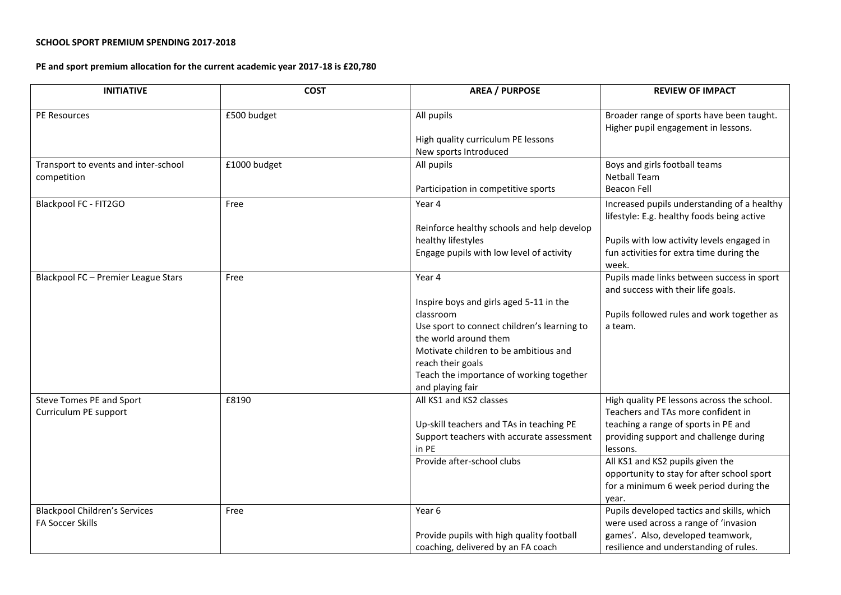## **SCHOOL SPORT PREMIUM SPENDING 2017-2018**

## **PE and sport premium allocation for the current academic year 2017-18 is £20,780**

| <b>INITIATIVE</b>                    | <b>COST</b>  | <b>AREA / PURPOSE</b>                       | <b>REVIEW OF IMPACT</b>                                                          |
|--------------------------------------|--------------|---------------------------------------------|----------------------------------------------------------------------------------|
| PE Resources                         | £500 budget  | All pupils                                  | Broader range of sports have been taught.<br>Higher pupil engagement in lessons. |
|                                      |              | High quality curriculum PE lessons          |                                                                                  |
|                                      |              | New sports Introduced                       |                                                                                  |
| Transport to events and inter-school | £1000 budget | All pupils                                  | Boys and girls football teams                                                    |
| competition                          |              |                                             | <b>Netball Team</b>                                                              |
|                                      |              | Participation in competitive sports         | <b>Beacon Fell</b>                                                               |
| Blackpool FC - FIT2GO                | Free         | Year 4                                      | Increased pupils understanding of a healthy                                      |
|                                      |              |                                             | lifestyle: E.g. healthy foods being active                                       |
|                                      |              | Reinforce healthy schools and help develop  |                                                                                  |
|                                      |              | healthy lifestyles                          | Pupils with low activity levels engaged in                                       |
|                                      |              | Engage pupils with low level of activity    | fun activities for extra time during the                                         |
|                                      |              |                                             | week.                                                                            |
| Blackpool FC - Premier League Stars  | Free         | Year 4                                      | Pupils made links between success in sport                                       |
|                                      |              | Inspire boys and girls aged 5-11 in the     | and success with their life goals.                                               |
|                                      |              | classroom                                   | Pupils followed rules and work together as                                       |
|                                      |              | Use sport to connect children's learning to | a team.                                                                          |
|                                      |              | the world around them                       |                                                                                  |
|                                      |              | Motivate children to be ambitious and       |                                                                                  |
|                                      |              | reach their goals                           |                                                                                  |
|                                      |              | Teach the importance of working together    |                                                                                  |
|                                      |              | and playing fair                            |                                                                                  |
| Steve Tomes PE and Sport             | £8190        | All KS1 and KS2 classes                     | High quality PE lessons across the school.                                       |
| Curriculum PE support                |              |                                             | Teachers and TAs more confident in                                               |
|                                      |              | Up-skill teachers and TAs in teaching PE    | teaching a range of sports in PE and                                             |
|                                      |              | Support teachers with accurate assessment   | providing support and challenge during                                           |
|                                      |              | in PE                                       | lessons.                                                                         |
|                                      |              | Provide after-school clubs                  | All KS1 and KS2 pupils given the                                                 |
|                                      |              |                                             | opportunity to stay for after school sport                                       |
|                                      |              |                                             | for a minimum 6 week period during the                                           |
|                                      |              |                                             | year.                                                                            |
| <b>Blackpool Children's Services</b> | Free         | Year 6                                      | Pupils developed tactics and skills, which                                       |
| FA Soccer Skills                     |              |                                             | were used across a range of 'invasion                                            |
|                                      |              | Provide pupils with high quality football   | games'. Also, developed teamwork,                                                |
|                                      |              | coaching, delivered by an FA coach          | resilience and understanding of rules.                                           |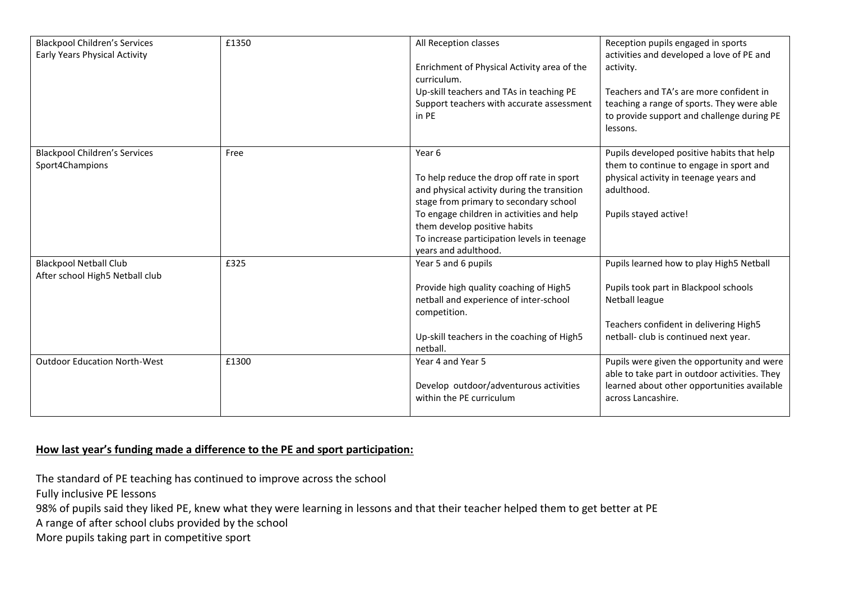| <b>Blackpool Children's Services</b><br>Early Years Physical Activity | £1350 | All Reception classes<br>Enrichment of Physical Activity area of the<br>curriculum.<br>Up-skill teachers and TAs in teaching PE<br>Support teachers with accurate assessment<br>in PE                                                                                                            | Reception pupils engaged in sports<br>activities and developed a love of PE and<br>activity.<br>Teachers and TA's are more confident in<br>teaching a range of sports. They were able<br>to provide support and challenge during PE<br>lessons. |
|-----------------------------------------------------------------------|-------|--------------------------------------------------------------------------------------------------------------------------------------------------------------------------------------------------------------------------------------------------------------------------------------------------|-------------------------------------------------------------------------------------------------------------------------------------------------------------------------------------------------------------------------------------------------|
| <b>Blackpool Children's Services</b><br>Sport4Champions               | Free  | Year 6<br>To help reduce the drop off rate in sport<br>and physical activity during the transition<br>stage from primary to secondary school<br>To engage children in activities and help<br>them develop positive habits<br>To increase participation levels in teenage<br>years and adulthood. | Pupils developed positive habits that help<br>them to continue to engage in sport and<br>physical activity in teenage years and<br>adulthood.<br>Pupils stayed active!                                                                          |
| <b>Blackpool Netball Club</b><br>After school High5 Netball club      | £325  | Year 5 and 6 pupils<br>Provide high quality coaching of High5<br>netball and experience of inter-school<br>competition.<br>Up-skill teachers in the coaching of High5<br>netball.                                                                                                                | Pupils learned how to play High5 Netball<br>Pupils took part in Blackpool schools<br>Netball league<br>Teachers confident in delivering High5<br>netball- club is continued next year.                                                          |
| <b>Outdoor Education North-West</b>                                   | £1300 | Year 4 and Year 5<br>Develop outdoor/adventurous activities<br>within the PE curriculum                                                                                                                                                                                                          | Pupils were given the opportunity and were<br>able to take part in outdoor activities. They<br>learned about other opportunities available<br>across Lancashire.                                                                                |

## **How last year's funding made a difference to the PE and sport participation:**

The standard of PE teaching has continued to improve across the school

Fully inclusive PE lessons

98% of pupils said they liked PE, knew what they were learning in lessons and that their teacher helped them to get better at PE

A range of after school clubs provided by the school

More pupils taking part in competitive sport